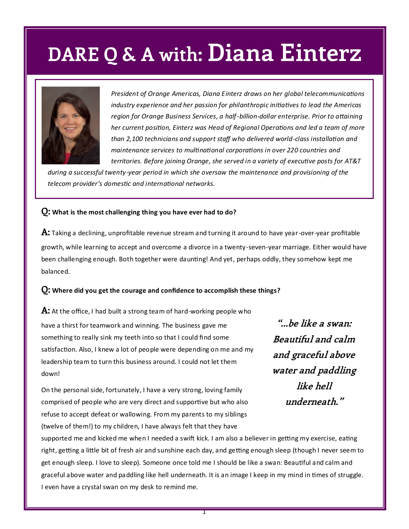## **DARE Q & A with: Diana Einterz**



*President of Orange Americas, Diana Einterz draws on her global telecommunications industry experience and her passion for philanthropic initiatives to lead the Americas region for Orange Business Services, a half-billion-dollar enterprise. Prior to attaining her current position, Einterz was Head of Regional Operations and led a team of more than 2,100 technicians and support staff who delivered world-class installation and maintenance services to multinational corporations in over 220 countries and territories. Before joining Orange, she served in a variety of executive posts for AT&T* 

*during a successful twenty-year period in which she oversaw the maintenance and provisioning of the telecom provider's domestic and international networks.*

#### **Q: What is the most challenging thing you have ever had to do?**

**A:** Taking a declining, unprofitable revenue stream and turning it around to have year-over-year profitable growth, while learning to accept and overcome a divorce in a twenty-seven-year marriage. Either would have been challenging enough. Both together were daunting! And yet, perhaps oddly, they somehow kept me balanced.

#### **Q: Where did you get the courage and confidence to accomplish these things?**

**A:** At the office, I had built a strong team of hard-working people who have a thirst for teamwork and winning. The business gave me something to really sink my teeth into so that I could find some satisfaction. Also, I knew a lot of people were depending on me and my leadership team to turn this business around. I could not let them down!

On the personal side, fortunately, I have a very strong, loving family comprised of people who are very direct and supportive but who also refuse to accept defeat or wallowing. From my parents to my siblings (twelve of them!) to my children, I have always felt that they have

**"...be like a swan: Beautiful and calm and graceful above water and paddling like hell underneath."**

supported me and kicked me when I needed a swift kick. I am also a believer in getting my exercise, eating right, getting a little bit of fresh air and sunshine each day, and getting enough sleep (though I never seem to get enough sleep. I love to sleep). Someone once told me I should be like a swan: Beautiful and calm and graceful above water and paddling like hell underneath. It is an image I keep in my mind in times of struggle. I even have a crystal swan on my desk to remind me.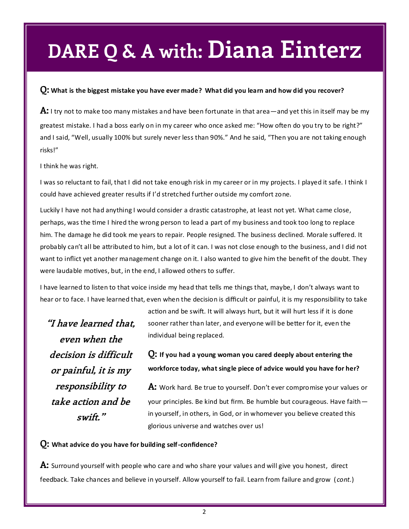## **DARE Q & A with: Diana Einterz**

#### **Q: What is the biggest mistake you have ever made? What did you learn and how did you recover?**

**A:** I try not to make too many mistakes and have been fortunate in that area—and yet this in itself may be my greatest mistake. I had a boss early on in my career who once asked me: "How often do you try to be right?" and I said, "Well, usually 100% but surely never less than 90%." And he said, "Then you are not taking enough risks!"

I think he was right.

I was so reluctant to fail, that I did not take enough risk in my career or in my projects. I played it safe. I think I could have achieved greater results if I'd stretched further outside my comfort zone.

Luckily I have not had anything I would consider a drastic catastrophe, at least not yet. What came close, perhaps, was the time I hired the wrong person to lead a part of my business and took too long to replace him. The damage he did took me years to repair. People resigned. The business declined. Morale suffered. It probably can't all be attributed to him, but a lot of it can. I was not close enough to the business, and I did not want to inflict yet another management change on it. I also wanted to give him the benefit of the doubt. They were laudable motives, but, in the end, I allowed others to suffer.

I have learned to listen to that voice inside my head that tells me things that, maybe, I don't always want to hear or to face. I have learned that, even when the decision is difficult or painful, it is my responsibility to take

**"I have learned that, even when the decision is difficult or painful, it is my responsibility to take action and be swift."**

action and be swift. It will always hurt, but it will hurt less if it is done sooner rather than later, and everyone will be better for it, even the individual being replaced.

**Q: If you had a young woman you cared deeply about entering the workforce today, what single piece of advice would you have for her?**

**A:** Work hard. Be true to yourself. Don't ever compromise your values or your principles. Be kind but firm. Be humble but courageous. Have faith in yourself, in others, in God, or in whomever you believe created this glorious universe and watches over us!

#### **Q: What advice do you have for building self-confidence?**

**A:** Surround yourself with people who care and who share your values and will give you honest, direct feedback. Take chances and believe in yourself. Allow yourself to fail. Learn from failure and grow ( *cont.*)